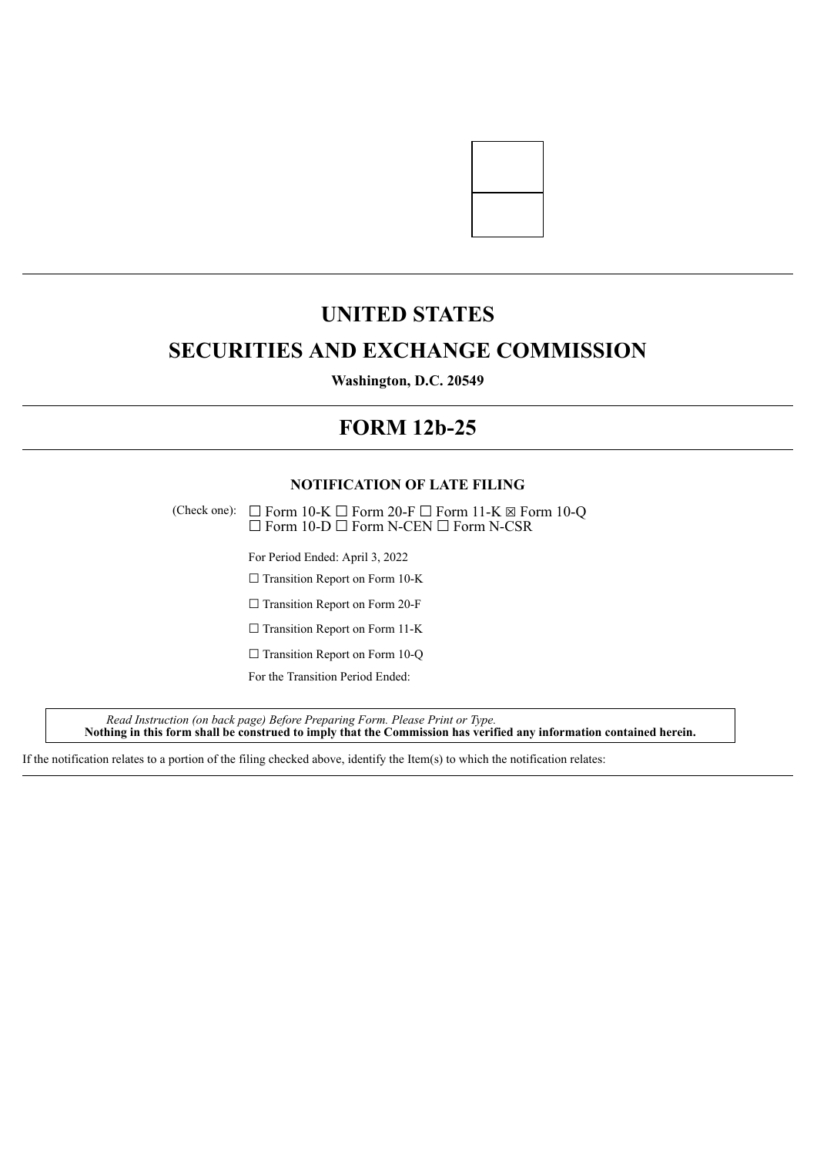

# **UNITED STATES**

## **SECURITIES AND EXCHANGE COMMISSION**

**Washington, D.C. 20549**

# **FORM 12b-25**

## **NOTIFICATION OF LATE FILING**

(Check one):  $\Box$  Form 10-K  $\Box$  Form 20-F  $\Box$  Form 11-K  $\boxtimes$  Form 10-Q ☐ Form 10-D ☐ Form N-CEN ☐ Form N-CSR

For Period Ended: April 3, 2022

□ Transition Report on Form 10-K

□ Transition Report on Form 20-F

□ Transition Report on Form 11-K

 $\Box$  Transition Report on Form 10-Q

For the Transition Period Ended:

*Read Instruction (on back page) Before Preparing Form. Please Print or Type.* Nothing in this form shall be construed to imply that the Commission has verified any information contained herein.

If the notification relates to a portion of the filing checked above, identify the Item(s) to which the notification relates: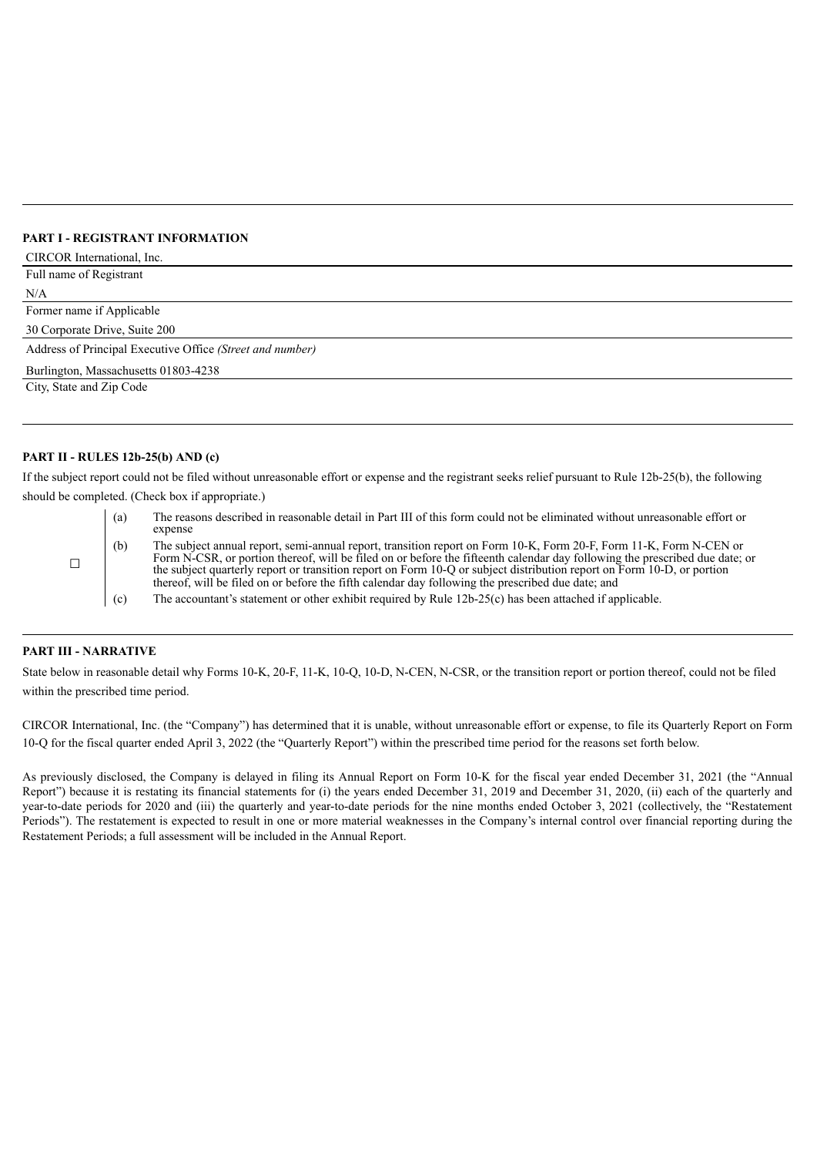### **PART I - REGISTRANT INFORMATION**

| CIRCOR International, Inc.                                |
|-----------------------------------------------------------|
| Full name of Registrant                                   |
| N/A                                                       |
| Former name if Applicable                                 |
| 30 Corporate Drive, Suite 200                             |
| Address of Principal Executive Office (Street and number) |
| Burlington, Massachusetts 01803-4238                      |
| City, State and Zip Code                                  |
|                                                           |

## **PART II - RULES 12b-25(b) AND (c)**

If the subject report could not be filed without unreasonable effort or expense and the registrant seeks relief pursuant to Rule 12b-25(b), the following should be completed. (Check box if appropriate.)

(a) The reasons described in reasonable detail in Part III of this form could not be eliminated without unreasonable effort or

|                  | expense                                                                                                                     |
|------------------|-----------------------------------------------------------------------------------------------------------------------------|
| (b)              | The subject annual report, semi-annual report, transition report on Form 10-K, Form 20-F, Form 11-K, Form N-CEN or          |
|                  | Form N-CSR, or portion thereof, will be filed on or before the fifteenth calendar day following the prescribed due date; or |
|                  | the subject quarterly report or transition report on Form 10-Q or subject distribution report on Form 10-D, or portion      |
|                  | thereof, will be filed on or before the fifth calendar day following the prescribed due date; and                           |
| $\left( \right)$ | The accountant's statement or other exhibit required by Rule $12b-25(c)$ has been attached if applicable                    |

(c) The accountant's statement or other exhibit required by Rule 12b-25(c) has been attached if applicable.

#### **PART III - NARRATIVE**

 $\Box$ 

State below in reasonable detail why Forms 10-K, 20-F, 11-K, 10-Q, 10-D, N-CEN, N-CSR, or the transition report or portion thereof, could not be filed within the prescribed time period.

CIRCOR International, Inc. (the "Company") has determined that it is unable, without unreasonable effort or expense, to file its Quarterly Report on Form 10-Q for the fiscal quarter ended April 3, 2022 (the "Quarterly Report") within the prescribed time period for the reasons set forth below.

As previously disclosed, the Company is delayed in filing its Annual Report on Form 10-K for the fiscal year ended December 31, 2021 (the "Annual Report") because it is restating its financial statements for (i) the years ended December 31, 2019 and December 31, 2020, (ii) each of the quarterly and year-to-date periods for 2020 and (iii) the quarterly and year-to-date periods for the nine months ended October 3, 2021 (collectively, the "Restatement Periods"). The restatement is expected to result in one or more material weaknesses in the Company's internal control over financial reporting during the Restatement Periods; a full assessment will be included in the Annual Report.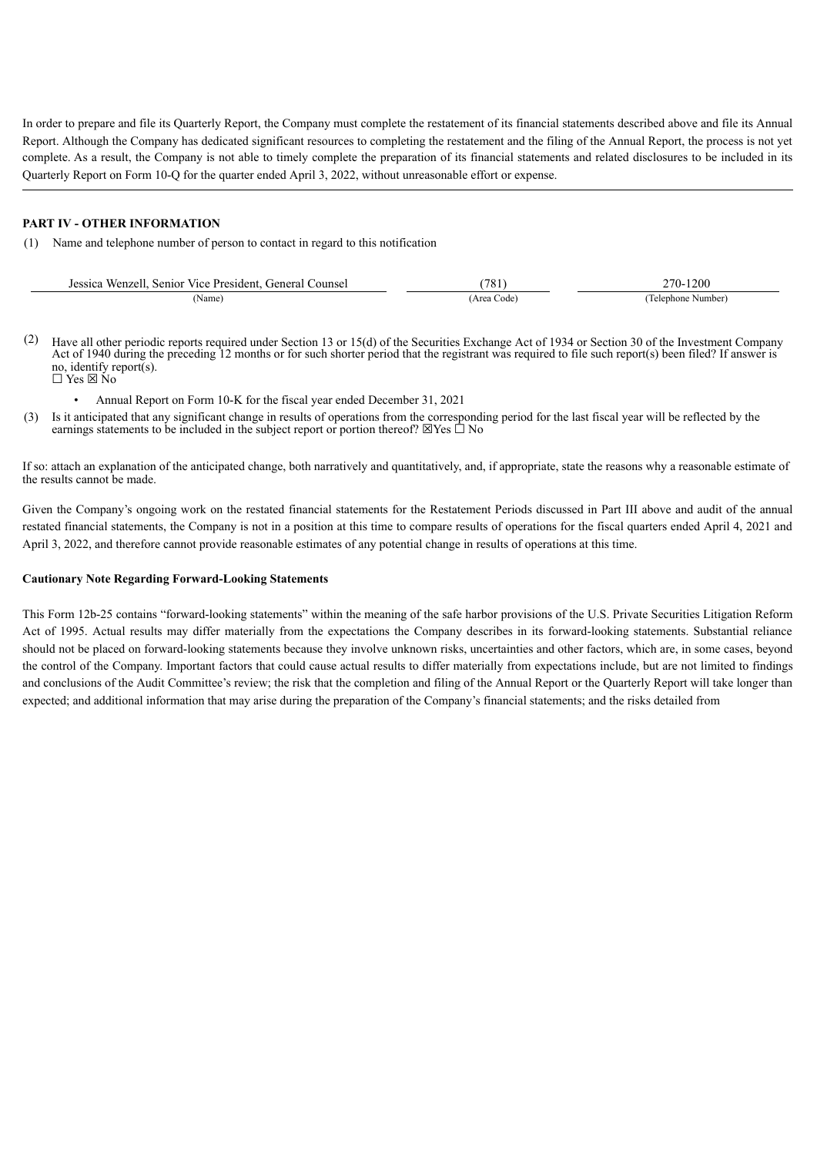In order to prepare and file its Quarterly Report, the Company must complete the restatement of its financial statements described above and file its Annual Report. Although the Company has dedicated significant resources to completing the restatement and the filing of the Annual Report, the process is not yet complete. As a result, the Company is not able to timely complete the preparation of its financial statements and related disclosures to be included in its Quarterly Report on Form 10-Q for the quarter ended April 3, 2022, without unreasonable effort or expense.

#### **PART IV - OTHER INFORMATION**

(1) Name and telephone number of person to contact in regard to this notification

| Jessica Wenzell<br>. Senior Vice President. General Counsel | 781        | 270-1200          |
|-------------------------------------------------------------|------------|-------------------|
| Name                                                        | (Area Code | Telephone Number) |

- (2) Have all other periodic reports required under Section 13 or 15(d) of the Securities Exchange Act of 1934 or Section 30 of the Investment Company Act of 1940 during the preceding 12 months or for such shorter period that the registrant was required to file such report(s) been filed? If answer is no, identify report(s).<br> $\Box$  Yes  $\boxtimes$  No
	- Annual Report on Form 10-K for the fiscal year ended December 31, 2021
- (3) Is it anticipated that any significant change in results of operations from the corresponding period for the last fiscal year will be reflected by the earnings statements to be included in the subject report or portion thereof?  $\boxtimes$  Yes  $\dot{\Box}$  No

If so: attach an explanation of the anticipated change, both narratively and quantitatively, and, if appropriate, state the reasons why a reasonable estimate of the results cannot be made.

Given the Company's ongoing work on the restated financial statements for the Restatement Periods discussed in Part III above and audit of the annual restated financial statements, the Company is not in a position at this time to compare results of operations for the fiscal quarters ended April 4, 2021 and April 3, 2022, and therefore cannot provide reasonable estimates of any potential change in results of operations at this time.

#### **Cautionary Note Regarding Forward-Looking Statements**

This Form 12b-25 contains "forward-looking statements" within the meaning of the safe harbor provisions of the U.S. Private Securities Litigation Reform Act of 1995. Actual results may differ materially from the expectations the Company describes in its forward-looking statements. Substantial reliance should not be placed on forward-looking statements because they involve unknown risks, uncertainties and other factors, which are, in some cases, beyond the control of the Company. Important factors that could cause actual results to differ materially from expectations include, but are not limited to findings and conclusions of the Audit Committee's review; the risk that the completion and filing of the Annual Report or the Quarterly Report will take longer than expected; and additional information that may arise during the preparation of the Company's financial statements; and the risks detailed from